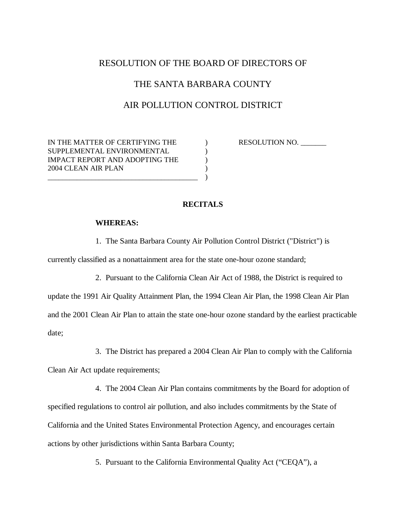# RESOLUTION OF THE BOARD OF DIRECTORS OF

# THE SANTA BARBARA COUNTY

### AIR POLLUTION CONTROL DISTRICT

IN THE MATTER OF CERTIFYING THE  $\qquad\qquad$  ) RESOLUTION NO. SUPPLEMENTAL ENVIRONMENTAL (1997) IMPACT REPORT AND ADOPTING THE  $\qquad\qquad)$ 2004 CLEAN AIR PLAN ) \_\_\_\_\_\_\_\_\_\_\_\_\_\_\_\_\_\_\_\_\_\_\_\_\_\_\_\_\_\_\_\_\_\_\_\_\_\_\_\_\_ )

## **RECITALS**

#### **WHEREAS:**

1. The Santa Barbara County Air Pollution Control District ("District") is

currently classified as a nonattainment area for the state one-hour ozone standard;

2. Pursuant to the California Clean Air Act of 1988, the District is required to

update the 1991 Air Quality Attainment Plan, the 1994 Clean Air Plan, the 1998 Clean Air Plan and the 2001 Clean Air Plan to attain the state one-hour ozone standard by the earliest practicable date;

3. The District has prepared a 2004 Clean Air Plan to comply with the California

Clean Air Act update requirements;

 4. The 2004 Clean Air Plan contains commitments by the Board for adoption of specified regulations to control air pollution, and also includes commitments by the State of California and the United States Environmental Protection Agency, and encourages certain actions by other jurisdictions within Santa Barbara County;

5. Pursuant to the California Environmental Quality Act ("CEQA"), a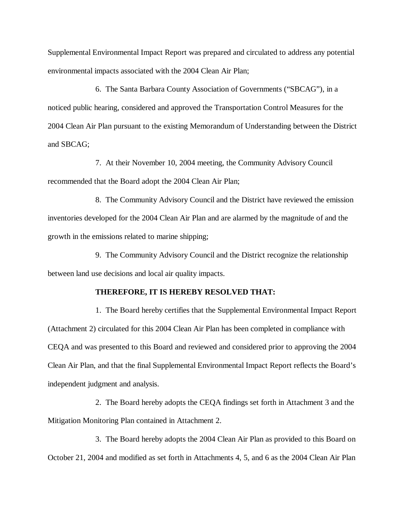Supplemental Environmental Impact Report was prepared and circulated to address any potential environmental impacts associated with the 2004 Clean Air Plan;

6. The Santa Barbara County Association of Governments ("SBCAG"), in a noticed public hearing, considered and approved the Transportation Control Measures for the 2004 Clean Air Plan pursuant to the existing Memorandum of Understanding between the District and SBCAG;

 7. At their November 10, 2004 meeting, the Community Advisory Council recommended that the Board adopt the 2004 Clean Air Plan;

8. The Community Advisory Council and the District have reviewed the emission inventories developed for the 2004 Clean Air Plan and are alarmed by the magnitude of and the growth in the emissions related to marine shipping;

 9. The Community Advisory Council and the District recognize the relationship between land use decisions and local air quality impacts.

#### **THEREFORE, IT IS HEREBY RESOLVED THAT:**

 1. The Board hereby certifies that the Supplemental Environmental Impact Report (Attachment 2) circulated for this 2004 Clean Air Plan has been completed in compliance with CEQA and was presented to this Board and reviewed and considered prior to approving the 2004 Clean Air Plan, and that the final Supplemental Environmental Impact Report reflects the Board's independent judgment and analysis.

 2. The Board hereby adopts the CEQA findings set forth in Attachment 3 and the Mitigation Monitoring Plan contained in Attachment 2.

 3. The Board hereby adopts the 2004 Clean Air Plan as provided to this Board on October 21, 2004 and modified as set forth in Attachments 4, 5, and 6 as the 2004 Clean Air Plan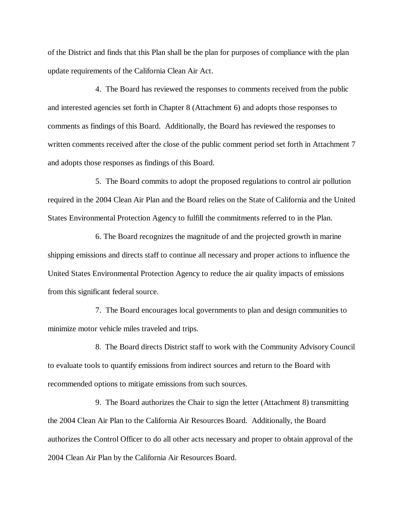of the District and finds that this Plan shall be the plan for purposes of compliance with the plan update requirements of the California Clean Air Act.

 4. The Board has reviewed the responses to comments received from the public and interested agencies set forth in Chapter 8 (Attachment 6) and adopts those responses to comments as findings of this Board. Additionally, the Board has reviewed the responses to written comments received after the close of the public comment period set forth in Attachment 7 and adopts those responses as findings of this Board.

 5. The Board commits to adopt the proposed regulations to control air pollution required in the 2004 Clean Air Plan and the Board relies on the State of California and the United States Environmental Protection Agency to fulfill the commitments referred to in the Plan.

 6. The Board recognizes the magnitude of and the projected growth in marine shipping emissions and directs staff to continue all necessary and proper actions to influence the United States Environmental Protection Agency to reduce the air quality impacts of emissions from this significant federal source.

 7. The Board encourages local governments to plan and design communities to minimize motor vehicle miles traveled and trips.

 8. The Board directs District staff to work with the Community Advisory Council to evaluate tools to quantify emissions from indirect sources and return to the Board with recommended options to mitigate emissions from such sources.

 9. The Board authorizes the Chair to sign the letter (Attachment 8) transmitting the 2004 Clean Air Plan to the California Air Resources Board. Additionally, the Board authorizes the Control Officer to do all other acts necessary and proper to obtain approval of the 2004 Clean Air Plan by the California Air Resources Board.